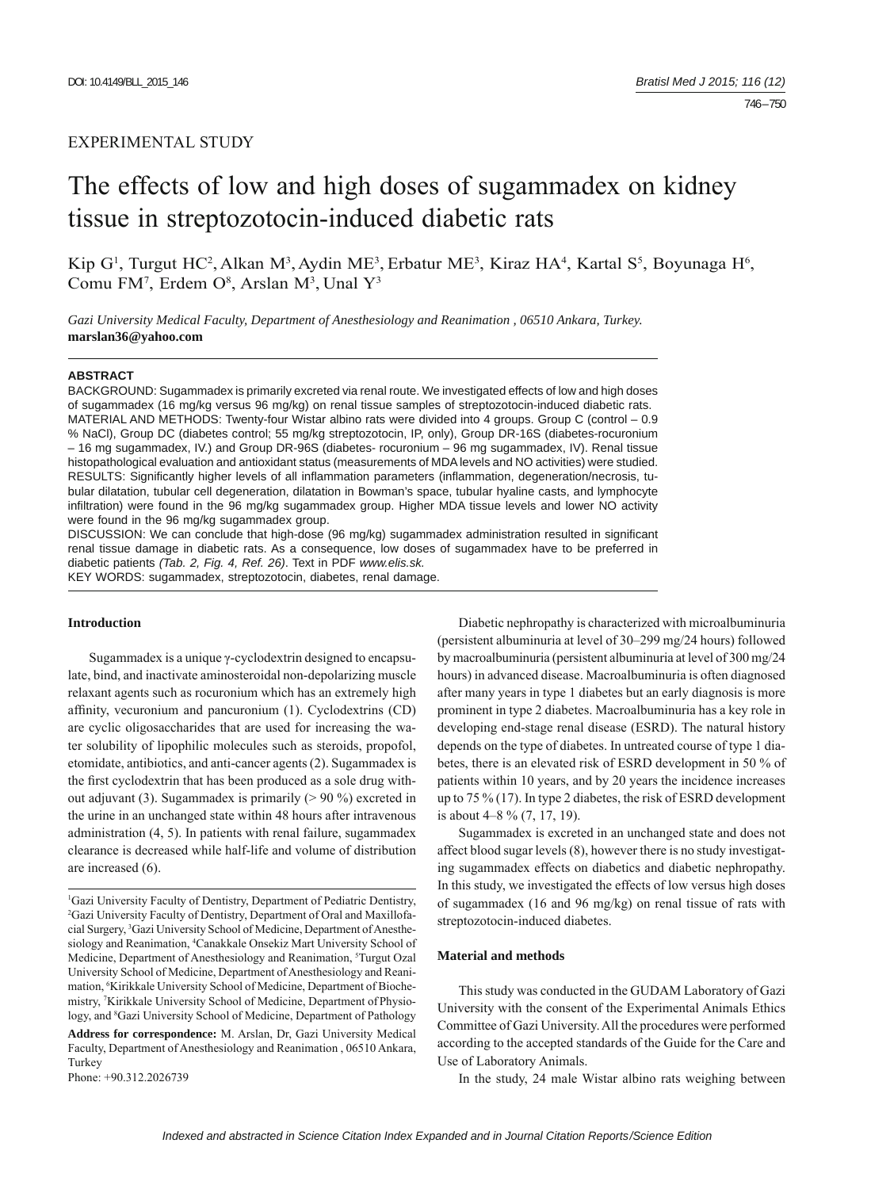# EXPERIMENTAL STUDY

# The effects of low and high doses of sugammadex on kidney tissue in streptozotocin-induced diabetic rats

Kip G<sup>1</sup>, Turgut HC<sup>2</sup>, Alkan M<sup>3</sup>, Aydin ME<sup>3</sup>, Erbatur ME<sup>3</sup>, Kiraz HA<sup>4</sup>, Kartal S<sup>5</sup>, Boyunaga H<sup>6</sup>, Comu FM<sup>7</sup>, Erdem O<sup>8</sup>, Arslan M<sup>3</sup>, Unal Y<sup>3</sup>

*Gazi University Medical Faculty, Department of Anesthesiology and Reanimation , 06510 Ankara, Turkey.*  **marslan36@yahoo.com**

#### **ABSTRACT**

BACKGROUND: Sugammadex is primarily excreted via renal route. We investigated effects of low and high doses of sugammadex (16 mg/kg versus 96 mg/kg) on renal tissue samples of streptozotocin-induced diabetic rats. MATERIAL AND METHODS: Twenty-four Wistar albino rats were divided into 4 groups. Group C (control – 0.9 % NaCl), Group DC (diabetes control; 55 mg/kg streptozotocin, IP, only), Group DR-16S (diabetes-rocuronium – 16 mg sugammadex, IV.) and Group DR-96S (diabetes- rocuronium – 96 mg sugammadex, IV). Renal tissue histopathological evaluation and antioxidant status (measurements of MDA levels and NO activities) were studied. RESULTS: Significantly higher levels of all inflammation parameters (inflammation, degeneration/necrosis, tubular dilatation, tubular cell degeneration, dilatation in Bowman's space, tubular hyaline casts, and lymphocyte infiltration) were found in the 96 mg/kg sugammadex group. Higher MDA tissue levels and lower NO activity were found in the 96 mg/kg sugammadex group.

DISCUSSION: We can conclude that high-dose (96 mg/kg) sugammadex administration resulted in significant renal tissue damage in diabetic rats. As a consequence, low doses of sugammadex have to be preferred in diabetic patients *(Tab. 2, Fig. 4, Ref. 26)*. Text in PDF *www.elis.sk.* KEY WORDS: sugammadex, streptozotocin, diabetes, renal damage.

# **Introduction**

Sugammadex is a unique γ-cyclodextrin designed to encapsulate, bind, and inactivate aminosteroidal non-depolarizing muscle relaxant agents such as rocuronium which has an extremely high affinity, vecuronium and pancuronium (1). Cyclodextrins (CD) are cyclic oligosaccharides that are used for increasing the water solubility of lipophilic molecules such as steroids, propofol, etomidate, antibiotics, and anti-cancer agents (2). Sugammadex is the first cyclodextrin that has been produced as a sole drug without adjuvant (3). Sugammadex is primarily ( $> 90\%$ ) excreted in the urine in an unchanged state within 48 hours after intravenous administration (4, 5). In patients with renal failure, sugammadex clearance is decreased while half-life and volume of distribution are increased (6).

**Address for correspondence:** M. Arslan, Dr, Gazi University Medical Faculty, Department of Anesthesiology and Reanimation , 06510 Ankara, Turkey

Phone: +90.312.2026739

Diabetic nephropathy is characterized with microalbuminuria (persistent albuminuria at level of 30–299 mg/24 hours) followed by macroalbuminuria (persistent albuminuria at level of 300 mg/24 hours) in advanced disease. Macroalbuminuria is often diagnosed after many years in type 1 diabetes but an early diagnosis is more prominent in type 2 diabetes. Macroalbuminuria has a key role in developing end-stage renal disease (ESRD). The natural history depends on the type of diabetes. In untreated course of type 1 diabetes, there is an elevated risk of ESRD development in 50 % of patients within 10 years, and by 20 years the incidence increases up to 75 % (17). In type 2 diabetes, the risk of ESRD development is about 4–8 % (7, 17, 19).

Sugammadex is excreted in an unchanged state and does not affect blood sugar levels (8), however there is no study investigating sugammadex effects on diabetics and diabetic nephropathy. In this study, we investigated the effects of low versus high doses of sugammadex (16 and 96 mg/kg) on renal tissue of rats with streptozotocin-induced diabetes.

## **Material and methods**

This study was conducted in the GUDAM Laboratory of Gazi University with the consent of the Experimental Animals Ethics Committee of Gazi University. All the procedures were performed according to the accepted standards of the Guide for the Care and Use of Laboratory Animals.

In the study, 24 male Wistar albino rats weighing between

<sup>1</sup> Gazi University Faculty of Dentistry, Department of Pediatric Dentistry, 2 Gazi University Faculty of Dentistry, Department of Oral and Maxillofacial Surgery, 3 Gazi University School of Medicine, Department of Anesthesiology and Reanimation, <sup>4</sup>Canakkale Onsekiz Mart University School of Medicine, Department of Anesthesiology and Reanimation, <sup>5</sup>Turgut Ozal University School of Medicine, Department of Anesthesiology and Reanimation, 6 Kirikkale University School of Medicine, Department of Biochemistry, 7 Kirikkale University School of Medicine, Department ofPhysiology, and <sup>8</sup>Gazi University School of Medicine, Department of Pathology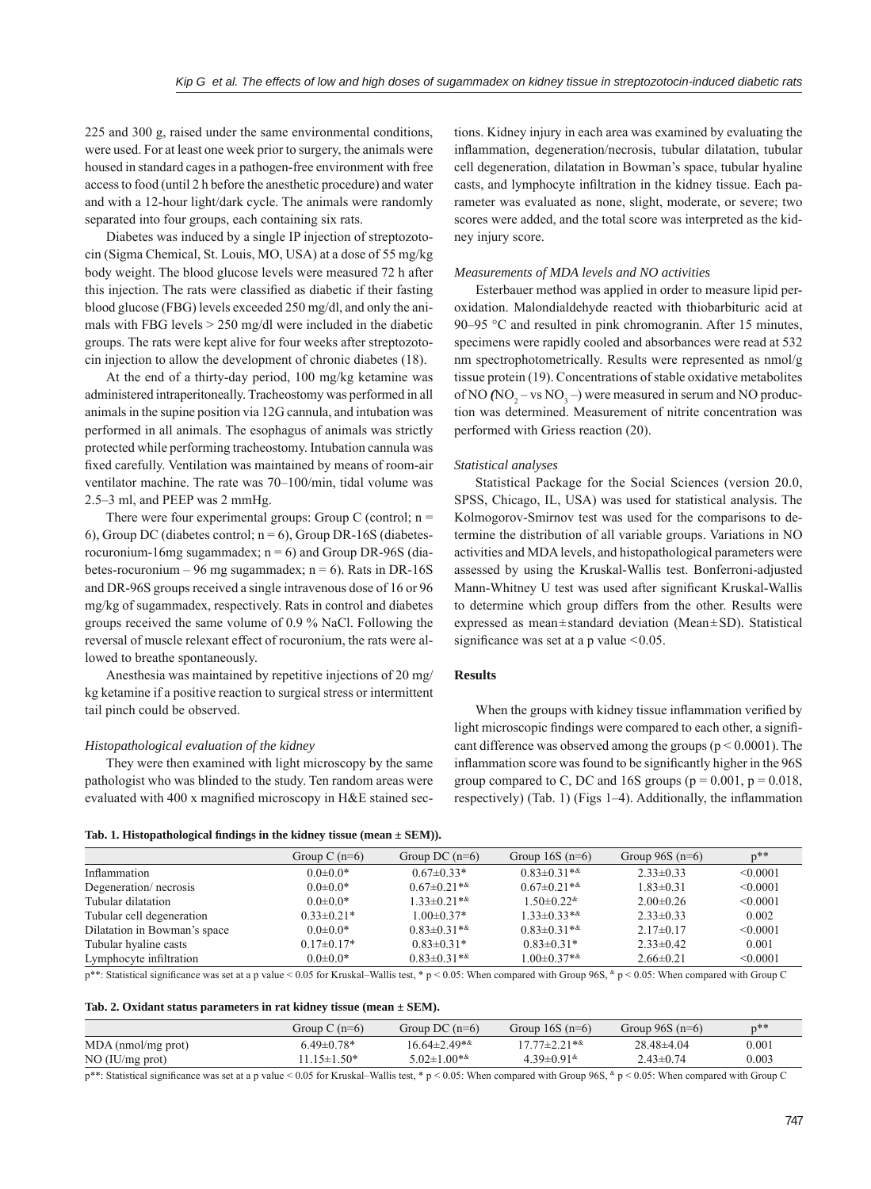225 and 300 g, raised under the same environmental conditions, were used. For at least one week prior to surgery, the animals were housed in standard cages in a pathogen-free environment with free access to food (until 2 h before the anesthetic procedure) and water and with a 12-hour light/dark cycle. The animals were randomly separated into four groups, each containing six rats.

Diabetes was induced by a single IP injection of streptozotocin (Sigma Chemical, St. Louis, MO, USA) at a dose of 55 mg/kg body weight. The blood glucose levels were measured 72 h after this injection. The rats were classified as diabetic if their fasting blood glucose (FBG) levels exceeded 250 mg/dl, and only the animals with FBG levels > 250 mg/dl were included in the diabetic groups. The rats were kept alive for four weeks after streptozotocin injection to allow the development of chronic diabetes (18).

At the end of a thirty-day period, 100 mg/kg ketamine was administered intraperitoneally. Tracheostomy was performed in all animals in the supine position via 12G cannula, and intubation was performed in all animals. The esophagus of animals was strictly protected while performing tracheostomy. Intubation cannula was fixed carefully. Ventilation was maintained by means of room-air ventilator machine. The rate was 70–100/min, tidal volume was 2.5–3 ml, and PEEP was 2 mmHg.

There were four experimental groups: Group C (control;  $n =$ 6), Group DC (diabetes control;  $n = 6$ ), Group DR-16S (diabetesrocuronium-16mg sugammadex;  $n = 6$ ) and Group DR-96S (diabetes-rocuronium – 96 mg sugammadex;  $n = 6$ ). Rats in DR-16S and DR-96S groups received a single intravenous dose of 16 or 96 mg/kg of sugammadex, respectively. Rats in control and diabetes groups received the same volume of 0.9 % NaCl. Following the reversal of muscle relexant effect of rocuronium, the rats were allowed to breathe spontaneously.

Anesthesia was maintained by repetitive injections of 20 mg/ kg ketamine if a positive reaction to surgical stress or intermittent tail pinch could be observed.

#### *Histopathological evaluation of the kidney*

They were then examined with light microscopy by the same pathologist who was blinded to the study. Ten random areas were evaluated with 400 x magnified microscopy in H&E stained sec-

tions. Kidney injury in each area was examined by evaluating the inflammation, degeneration/necrosis, tubular dilatation, tubular cell degeneration, dilatation in Bowman's space, tubular hyaline casts, and lymphocyte infiltration in the kidney tissue. Each parameter was evaluated as none, slight, moderate, or severe; two scores were added, and the total score was interpreted as the kidney injury score.

#### *Measurements of MDA levels and NO activities*

Esterbauer method was applied in order to measure lipid peroxidation. Malondialdehyde reacted with thiobarbituric acid at 90–95 °C and resulted in pink chromogranin. After 15 minutes, specimens were rapidly cooled and absorbances were read at 532 nm spectrophotometrically. Results were represented as nmol/g tissue protein (19). Concentrations of stable oxidative metabolites of NO  $(NO_2 - vs\ NO_3 -)$  were measured in serum and NO production was determined. Measurement of nitrite concentration was performed with Griess reaction (20).

#### *Statistical analyses*

Statistical Package for the Social Sciences (version 20.0, SPSS, Chicago, IL, USA) was used for statistical analysis. The Kolmogorov-Smirnov test was used for the comparisons to determine the distribution of all variable groups. Variations in NO activities and MDA levels, and histopathological parameters were assessed by using the Kruskal-Wallis test. Bonferroni-adjusted Mann-Whitney U test was used after significant Kruskal-Wallis to determine which group differs from the other. Results were expressed as mean±standard deviation (Mean±SD). Statistical significance was set at a p value  $\leq 0.05$ .

## **Results**

When the groups with kidney tissue inflammation verified by light microscopic findings were compared to each other, a significant difference was observed among the groups ( $p \le 0.0001$ ). The inflammation score was found to be significantly higher in the 96S group compared to C, DC and 16S groups ( $p = 0.001$ ,  $p = 0.018$ , respectively) (Tab. 1) (Figs  $1-4$ ). Additionally, the inflammation

|  |  | Tab. 1. Histopathological findings in the kidney tissue (mean $\pm$ SEM)). |  |  |  |
|--|--|----------------------------------------------------------------------------|--|--|--|
|  |  |                                                                            |  |  |  |

|                              | Group C $(n=6)$ | Group DC $(n=6)$   | Group $16S(n=6)$                 | Group $96S(n=6)$ | $p^{**}$ |
|------------------------------|-----------------|--------------------|----------------------------------|------------------|----------|
| Inflammation                 | $0.0 \pm 0.0*$  | $0.67 \pm 0.33*$   | $0.83 \pm 0.31**$                | $2.33 \pm 0.33$  | < 0.0001 |
| Degeneration/necrosis        | $0.0 \pm 0.0*$  | $0.67 \pm 0.21$ ** | $0.67 \pm 0.21**$                | $1.83 \pm 0.31$  | < 0.0001 |
| Tubular dilatation           | $0.0 \pm 0.0*$  | $1.33\pm0.21**$    | $1.50 \pm 0.22$ <sup>&amp;</sup> | $2.00\pm0.26$    | < 0.0001 |
| Tubular cell degeneration    | $0.33\pm0.21*$  | $1.00 \pm 0.37*$   | $1.33\pm0.33**$                  | $2.33 \pm 0.33$  | 0.002    |
| Dilatation in Bowman's space | $0.0 \pm 0.0*$  | $0.83\pm0.31**$    | $0.83 \pm 0.31**$                | $2.17\pm0.17$    | < 0.0001 |
| Tubular hyaline casts        | $0.17\pm0.17*$  | $0.83\pm0.31*$     | $0.83\pm0.31*$                   | $2.33 \pm 0.42$  | 0.001    |
| Lymphocyte infiltration      | $0.0 \pm 0.0*$  | $0.83\pm0.31**$    | $1.00 \pm 0.37**$                | $2.66\pm0.21$    | < 0.0001 |
|                              |                 |                    |                                  |                  |          |

 $p^{**}$ : Statistical significance was set at a p value < 0.05 for Kruskal–Wallis test, \* p < 0.05: When compared with Group 96S, \* p < 0.05: When compared with Group C

| Tab. 2. Oxidant status parameters in rat kidney tissue (mean $\pm$ SEM). |  |  |  |  |  |  |  |  |  |  |  |
|--------------------------------------------------------------------------|--|--|--|--|--|--|--|--|--|--|--|
|--------------------------------------------------------------------------|--|--|--|--|--|--|--|--|--|--|--|

|                      | Group C $(n=6)$  | Group DC $(n=6)$ | Group $16S(n=6)$               | Group $96S(n=6)$ | $n**$ |
|----------------------|------------------|------------------|--------------------------------|------------------|-------|
| $MDA$ (nmol/mg prot) | $6.49 \pm 0.78*$ | $16.64\pm2.49**$ | $17.77 \pm 2.21$ **            | $28.48\pm4.04$   | 0.001 |
| NO (IU/mg prot)      | $1.15 \pm 1.50*$ | $5.02\pm1.00**$  | $4.39\pm0.91$ <sup>&amp;</sup> | $2.43 \pm 0.74$  | 0.003 |

p\*\*: Statistical signifi cance was set at a p value < 0.05 for Kruskal–Wallis test, \* p < 0.05: When compared with Group 96S, & p < 0.05: When compared with Group C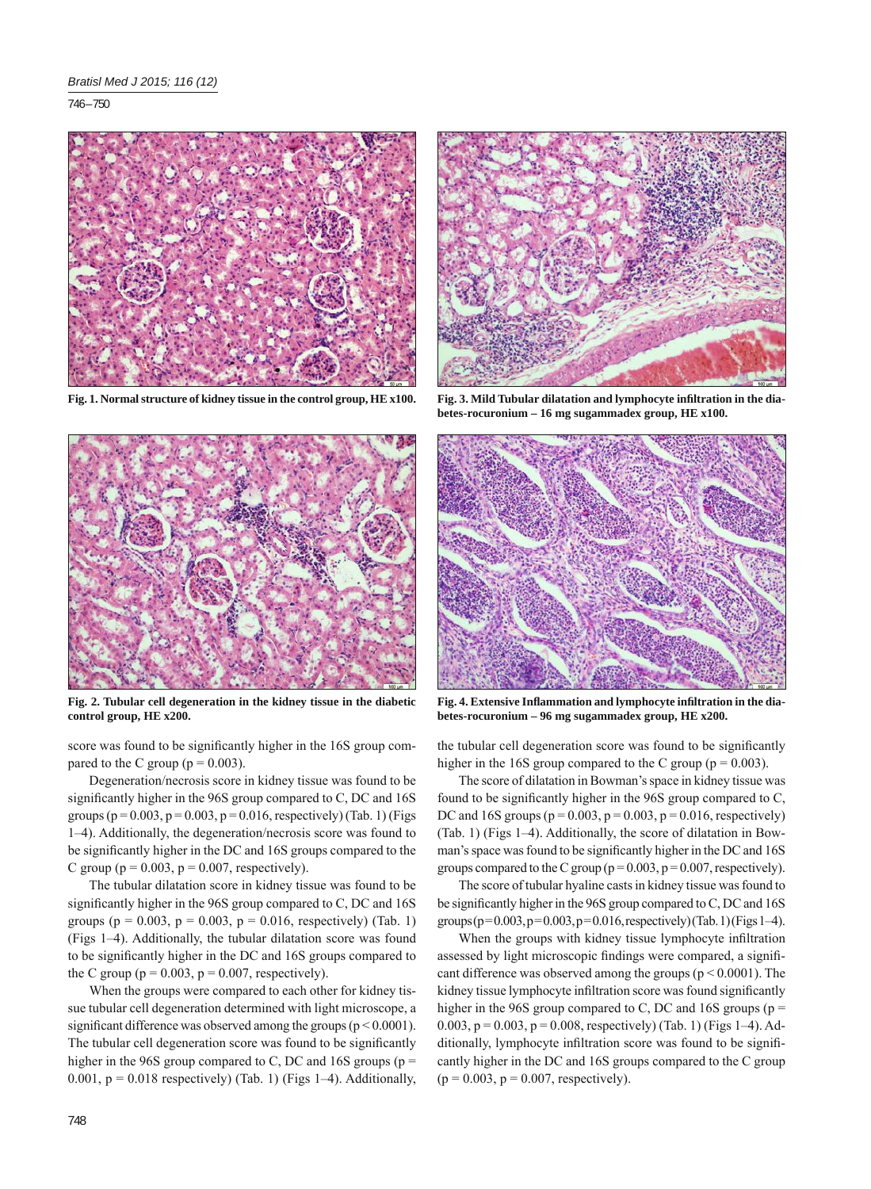746 – 750



**Fig. 1. Normal structure of kidney tissue in the control group, HE x100.**



**Fig. 2. Tubular cell degeneration in the kidney tissue in the diabetic control group, HE x200.** 

score was found to be significantly higher in the 16S group compared to the C group ( $p = 0.003$ ).

Degeneration/necrosis score in kidney tissue was found to be significantly higher in the  $96S$  group compared to C, DC and  $16S$ groups ( $p = 0.003$ ,  $p = 0.003$ ,  $p = 0.016$ , respectively) (Tab. 1) (Figs 1–4). Additionally, the degeneration/necrosis score was found to be significantly higher in the DC and 16S groups compared to the C group ( $p = 0.003$ ,  $p = 0.007$ , respectively).

The tubular dilatation score in kidney tissue was found to be significantly higher in the  $96S$  group compared to C, DC and  $16S$ groups ( $p = 0.003$ ,  $p = 0.003$ ,  $p = 0.016$ , respectively) (Tab. 1) (Figs 1–4). Additionally, the tubular dilatation score was found to be significantly higher in the DC and 16S groups compared to the C group ( $p = 0.003$ ,  $p = 0.007$ , respectively).

When the groups were compared to each other for kidney tissue tubular cell degeneration determined with light microscope, a significant difference was observed among the groups ( $p < 0.0001$ ). The tubular cell degeneration score was found to be significantly higher in the 96S group compared to C, DC and 16S groups ( $p =$ 0.001,  $p = 0.018$  respectively) (Tab. 1) (Figs 1-4). Additionally,



Fig. 3. Mild Tubular dilatation and lymphocyte infiltration in the dia**betes-rocuronium – 16 mg sugammadex group, HE x100.**



Fig. 4. Extensive Inflammation and lymphocyte infiltration in the dia**betes-rocuronium – 96 mg sugammadex group, HE x200.**

the tubular cell degeneration score was found to be significantly higher in the 16S group compared to the C group ( $p = 0.003$ ).

The score of dilatation in Bowman's space in kidney tissue was found to be significantly higher in the 96S group compared to C, DC and 16S groups ( $p = 0.003$ ,  $p = 0.003$ ,  $p = 0.016$ , respectively) (Tab. 1) (Figs 1–4). Additionally, the score of dilatation in Bowman's space was found to be significantly higher in the DC and 16S groups compared to the C group ( $p = 0.003$ ,  $p = 0.007$ , respectively).

The score of tubular hyaline casts in kidney tissue was found to be significantly higher in the 96S group compared to  $C$ , DC and 16S groups ( $p=0.003$ ,  $p=0.003$ ,  $p=0.016$ , respectively) (Tab. 1) (Figs 1-4).

When the groups with kidney tissue lymphocyte infiltration assessed by light microscopic findings were compared, a significant difference was observed among the groups ( $p \le 0.0001$ ). The kidney tissue lymphocyte infiltration score was found significantly higher in the 96S group compared to C, DC and 16S groups ( $p =$ 0.003,  $p = 0.003$ ,  $p = 0.008$ , respectively) (Tab. 1) (Figs 1–4). Additionally, lymphocyte infiltration score was found to be significantly higher in the DC and 16S groups compared to the C group  $(p = 0.003, p = 0.007, respectively).$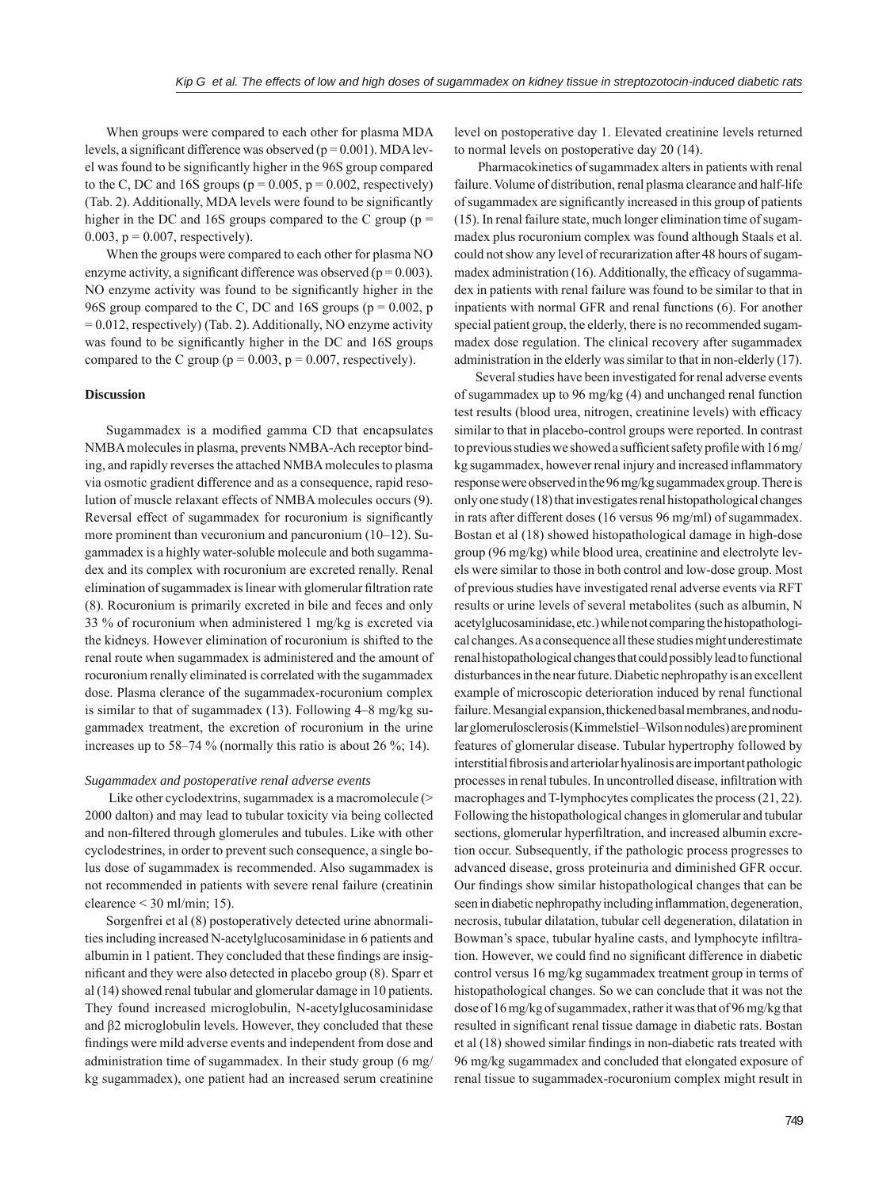When groups were compared to each other for plasma MDA levels, a significant difference was observed ( $p = 0.001$ ). MDA level was found to be significantly higher in the 96S group compared to the C, DC and 16S groups ( $p = 0.005$ ,  $p = 0.002$ , respectively) (Tab. 2). Additionally, MDA levels were found to be significantly higher in the DC and 16S groups compared to the C group ( $p =$ 0.003,  $p = 0.007$ , respectively).

When the groups were compared to each other for plasma NO enzyme activity, a significant difference was observed ( $p = 0.003$ ). NO enzyme activity was found to be significantly higher in the 96S group compared to the C, DC and 16S groups ( $p = 0.002$ , p  $= 0.012$ , respectively) (Tab. 2). Additionally, NO enzyme activity was found to be significantly higher in the DC and 16S groups compared to the C group ( $p = 0.003$ ,  $p = 0.007$ , respectively).

#### **Discussion**

Sugammadex is a modified gamma CD that encapsulates NMBA molecules in plasma, prevents NMBA-Ach receptor binding, and rapidly reverses the attached NMBA molecules to plasma via osmotic gradient difference and as a consequence, rapid resolution of muscle relaxant effects of NMBA molecules occurs (9). Reversal effect of sugammadex for rocuronium is significantly more prominent than vecuronium and pancuronium (10–12). Sugammadex is a highly water-soluble molecule and both sugammadex and its complex with rocuronium are excreted renally. Renal elimination of sugammadex is linear with glomerular filtration rate (8). Rocuronium is primarily excreted in bile and feces and only 33 % of rocuronium when administered 1 mg/kg is excreted via the kidneys. However elimination of rocuronium is shifted to the renal route when sugammadex is administered and the amount of rocuronium renally eliminated is correlated with the sugammadex dose. Plasma clerance of the sugammadex-rocuronium complex is similar to that of sugammadex (13). Following 4–8 mg/kg sugammadex treatment, the excretion of rocuronium in the urine increases up to 58–74 % (normally this ratio is about 26 %; 14).

#### *Sugammadex and postoperative renal adverse events*

 Like other cyclodextrins, sugammadex is a macromolecule (> 2000 dalton) and may lead to tubular toxicity via being collected and non-filtered through glomerules and tubules. Like with other cyclodestrines, in order to prevent such consequence, a single bolus dose of sugammadex is recommended. Also sugammadex is not recommended in patients with severe renal failure (creatinin clearence  $<$  30 ml/min; 15).

Sorgenfrei et al (8) postoperatively detected urine abnormalities including increased N-acetylglucosaminidase in 6 patients and albumin in 1 patient. They concluded that these findings are insignificant and they were also detected in placebo group (8). Sparr et al (14) showed renal tubular and glomerular damage in 10 patients. They found increased microglobulin, N-acetylglucosaminidase and β2 microglobulin levels. However, they concluded that these findings were mild adverse events and independent from dose and administration time of sugammadex. In their study group (6 mg/ kg sugammadex), one patient had an increased serum creatinine level on postoperative day 1. Elevated creatinine levels returned to normal levels on postoperative day 20 (14).

 Pharmacokinetics of sugammadex alters in patients with renal failure. Volume of distribution, renal plasma clearance and half-life of sugammadex are significantly increased in this group of patients (15). In renal failure state, much longer elimination time of sugammadex plus rocuronium complex was found although Staals et al. could not show any level of recurarization after 48 hours of sugammadex administration  $(16)$ . Additionally, the efficacy of sugammadex in patients with renal failure was found to be similar to that in inpatients with normal GFR and renal functions (6). For another special patient group, the elderly, there is no recommended sugammadex dose regulation. The clinical recovery after sugammadex administration in the elderly was similar to that in non-elderly (17).

Several studies have been investigated for renal adverse events of sugammadex up to 96 mg/kg (4) and unchanged renal function test results (blood urea, nitrogen, creatinine levels) with efficacy similar to that in placebo-control groups were reported. In contrast to previous studies we showed a sufficient safety profile with  $16$  mg/ kg sugammadex, however renal injury and increased inflammatory response were observed in the 96 mg/kg sugammadex group. There is only one study (18) that investigates renal histopathological changes in rats after different doses (16 versus 96 mg/ml) of sugammadex. Bostan et al (18) showed histopathological damage in high-dose group (96 mg/kg) while blood urea, creatinine and electrolyte levels were similar to those in both control and low-dose group. Most of previous studies have investigated renal adverse events via RFT results or urine levels of several metabolites (such as albumin, N acetylglucosaminidase, etc.) while not comparing the histopathological changes. As a consequence all these studies might underestimate renal histopathological changes that could possibly lead to functional disturbances in the near future. Diabetic nephropathy is an excellent example of microscopic deterioration induced by renal functional failure. Mesangial expansion, thickened basal membranes, and nodular glomerulosclerosis (Kimmelstiel–Wilson nodules) are prominent features of glomerular disease. Tubular hypertrophy followed by interstitial fibrosis and arteriolar hyalinosis are important pathologic processes in renal tubules. In uncontrolled disease, infiltration with macrophages and T-lymphocytes complicates the process (21, 22). Following the histopathological changes in glomerular and tubular sections, glomerular hyperfiltration, and increased albumin excretion occur. Subsequently, if the pathologic process progresses to advanced disease, gross proteinuria and diminished GFR occur. Our findings show similar histopathological changes that can be seen in diabetic nephropathy including inflammation, degeneration, necrosis, tubular dilatation, tubular cell degeneration, dilatation in Bowman's space, tubular hyaline casts, and lymphocyte infiltration. However, we could find no significant difference in diabetic control versus 16 mg/kg sugammadex treatment group in terms of histopathological changes. So we can conclude that it was not the dose of 16 mg/kg of sugammadex, rather it was that of 96 mg/kg that resulted in significant renal tissue damage in diabetic rats. Bostan et al (18) showed similar findings in non-diabetic rats treated with 96 mg/kg sugammadex and concluded that elongated exposure of renal tissue to sugammadex-rocuronium complex might result in